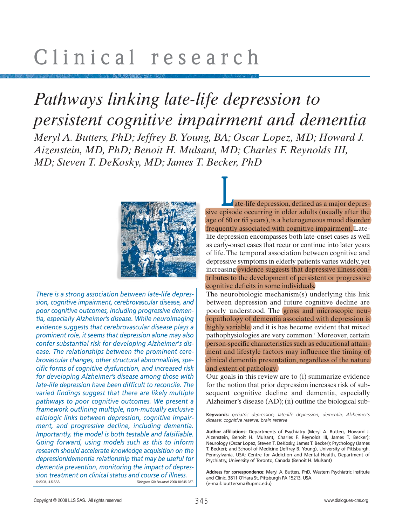*Pathways linking late-life depression to persistent cognitive impairment and dementia Meryl A. Butters, PhD; Jeffrey B. Young, BA; Oscar Lopez, MD; Howard J. Aizenstein, MD, PhD; Benoit H. Mulsant, MD; Charles F. Reynolds III, MD; Steven T. DeKosky, MD; James T. Becker, PhD*



*There is a strong association between late-life depression, cognitive impairment, cerebrovascular disease, and poor cognitive outcomes, including progressive dementia, especially Alzheimer's disease. While neuroimaging evidence suggests that cerebrovascular disease plays a prominent role, it seems that depression alone may also confer substantial risk for developing Alzheimer's disease. The relationships between the prominent cerebrovascular changes, other structural abnormalities, specific forms of cognitive dysfunction, and increased risk for developing Alzheimer's disease among those with late-life depression have been difficult to reconcile. The varied findings suggest that there are likely multiple pathways to poor cognitive outcomes. We present a framework outlining multiple, non-mutually exclusive etiologic links between depression, cognitive impairment, and progressive decline, including dementia. Importantly, the model is both testable and falsifiable. Going forward, using models such as this to inform research should accelerate knowledge acquisition on the depression/dementia relationship that may be useful for dementia prevention, monitoring the impact of depression treatment on clinical status and course of illness.*  Dialogues Clin Neurosci. 2008;10:345-357.

ate-life depression, defined as a major depresate-life depression, defined as a major depressive episode occurring in older adults (usually after the age of 60 or 65 years), is a heterogeneous mood disorder frequently associated with cognitive impairment. Latelife depression encompasses both late-onset cases as well as early-onset cases that recur or continue into later years of life. The temporal association between cognitive and depressive symptoms in elderly patients varies widely, yet increasing evidence suggests that depressive illness contributes to the development of persistent or progressive cognitive deficits in some individuals.

The neurobiologic mechanism(s) underlying this link between depression and future cognitive decline are poorly understood. The gross and microscopic neuropathology of dementia associated with depression is highly variable, and it is has become evident that mixed pathophysiologies are very common.1 Moreover, certain person-specific characteristics such as educational attainment and lifestyle factors may influence the timing of clinical dementia presentation, regardless of the nature and extent of pathology.

Our goals in this review are to (i) summarize evidence for the notion that prior depression increases risk of subsequent cognitive decline and dementia, especially Alzheimer's disease (AD); (ii) outline the biological sub-

**Keywords:** *geriatric depression; late-life depression; dementia; Alzheimer's disease; cognitive reserve; brain reserve* 

**Author affiliations:** Departments of Psychiatry (Meryl A. Butters, Howard J. Aizenstein, Benoit H. Mulsant, Charles F. Reynolds III, James T. Becker); Neurology (Oscar Lopez, Steven T. DeKosky, James T. Becker); Psychology (James T. Becker); and School of Medicine (Jeffrey B. Young), University of Pittsburgh, Pennsylvania, USA; Centre for Addiction and Mental Health, Department of Psychiatry, University of Toronto, Canada (Benoit H. Mulsant)

**Address for correspondence:** Meryl A. Butters, PhD, Western Psychiatric Institute and Clinic, 3811 O'Hara St, Pittsburgh PA 15213, USA (e-mail: buttersma@upmc.edu)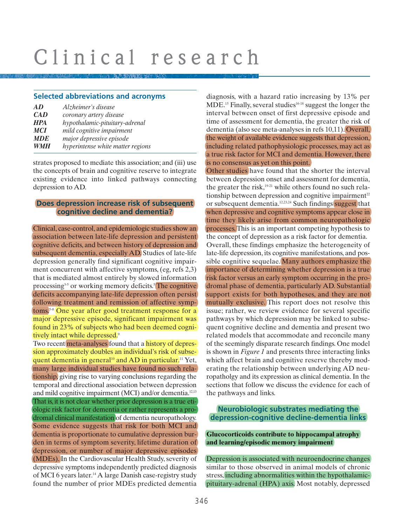#### **Selected abbreviations and acronyms**

| AD         | Alzheimer's disease               |
|------------|-----------------------------------|
| <b>CAD</b> | coronary artery disease           |
| <b>HPA</b> | hypothalamic-pituitary-adrenal    |
| <b>MCI</b> | mild cognitive impairment         |
| <b>MDE</b> | major depressive episode          |
| <b>WMH</b> | hyperintense white matter regions |

strates proposed to mediate this association; and (iii) use the concepts of brain and cognitive reserve to integrate existing evidence into linked pathways connecting depression to AD.

### **Does depression increase risk of subsequent cognitive decline and dementia?**

Clinical, case-control, and epidemiologic studies show an association between late-life depression and persistent cognitive deficits, and between history of depression and subsequent dementia, especially AD. Studies of late-life depression generally find significant cognitive impairment concurrent with affective symptoms, (eg, refs 2,3) that is mediated almost entirely by slowed information processing<sup>3-5</sup> or working memory deficits.<sup>5</sup> The cognitive deficits accompanying late-life depression often persist following treatment and remission of affective symptoms.5-8 One year after good treatment response for a major depressive episode, significant impairment was found in 23% of subjects who had been deemed cognitively intact while depressed.<sup>9</sup>

Two recent meta-analyses found that a history of depression approximately doubles an individual's risk of subsequent dementia in general<sup>10</sup> and AD in particular.<sup>11</sup> Yet, many large individual studies have found no such relationship, giving rise to varying conclusions regarding the temporal and directional association between depression and mild cognitive impairment (MCI) and/or dementia.12,13 That is, it is not clear whether prior depression is a true etiologic risk factor for dementia or rather represents a prodromal clinical manifestation of dementia neuropathology. Some evidence suggests that risk for both MCI and dementia is proportionate to cumulative depression burden in terms of symptom severity, lifetime duration of depression, or number of major depressive episodes (MDEs). In the Cardiovascular Health Study, severity of depressive symptoms independently predicted diagnosis of MCI 6 years later.14 A large Danish case-registry study found the number of prior MDEs predicted dementia

diagnosis, with a hazard ratio increasing by 13% per MDE.<sup>15</sup> Finally, several studies<sup>16-18</sup> suggest the longer the interval between onset of first depressive episode and time of assessment for dementia, the greater the risk of dementia (also see meta-analyses in refs 10,11). Overall, the weight of available evidence suggests that depression, including related pathophysiologic processes, may act as a true risk factor for MCI and dementia. However, there is no consensus as yet on this point.

Other studies have found that the shorter the interval between depression onset and assessment for dementia, the greater the risk,<sup>19-21</sup> while others found no such relationship between depression and cognitive impairment<sup>22</sup> or subsequent dementia.12,23,24 Such findings suggest that when depressive and cognitive symptoms appear close in time they likely arise from common neuropathologic processes. This is an important competing hypothesis to the concept of depression as a risk factor for dementia. Overall, these findings emphasize the heterogeneity of late-life depression, its cognitive manifestations, and possible cognitive sequelae. Many authors emphasize the importance of determining whether depression is a true risk factor versus an early symptom occurring in the prodromal phase of dementia, particularly AD. Substantial support exists for both hypotheses, and they are not mutually exclusive. This report does not resolve this issue; rather, we review evidence for several specific pathways by which depression may be linked to subsequent cognitive decline and dementia and present two related models that accommodate and reconcile many of the seemingly disparate research findings. One model is shown in *Figure 1* and presents three interacting links which affect brain and cognitive reserve thereby moderating the relationship between underlying AD neuropatholgy and its expression as clinical dementia. In the sections that follow we discuss the evidence for each of the pathways and links.

### **Neurobiologic substrates mediating the depression-cognitive decline-dementia links**

**Glucocorticoids contribute to hippocampal atrophy and learning/episodic memory impairment**

Depression is associated with neuroendocrine changes similar to those observed in animal models of chronic stress, including abnormalities within the hypothalamicpituitary-adrenal (HPA) axis. Most notably, depressed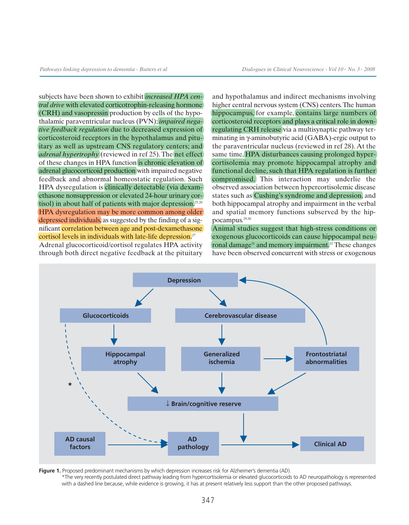subjects have been shown to exhibit *increased HPA central drive* with elevated corticotrophin-releasing hormone (CRH) and vasopressin production by cells of the hypothalamic paraventricular nucleus (PVN); *impaired negative feedback regulation* due to decreased expression of corticosteroid receptors in the hypothalamus and pituitary as well as upstream CNS regulatory centers; and *adrenal hypertrophy* (reviewed in ref 25). The net effect of these changes in HPA function is chronic elevation of adrenal glucocorticoid production with impaired negative feedback and abnormal homeostatic regulation. Such HPA dysregulation is clinically detectable (via dexamethasone nonsuppression or elevated 24-hour urinary cortisol) in about half of patients with major depression.25,26 HPA dysregulation may be more common among older depressed individuals, as suggested by the finding of a significant correlation between age and post-dexamethasone cortisol levels in individuals with late-life depression.<sup>27</sup>

Adrenal glucocorticoid/cortisol regulates HPA activity through both direct negative feedback at the pituitary

and hypothalamus and indirect mechanisms involving higher central nervous system (CNS) centers.The human hippocampus, for example, contains large numbers of corticosteroid receptors and plays a critical role in downregulating CRH release via a multisynaptic pathway terminating in γ-aminobutyric acid (GABA)-ergic output to the paraventricular nucleus (reviewed in ref 28). At the same time, HPA disturbances causing prolonged hypercortisolemia may promote hippocampal atrophy and functional decline, such that HPA regulation is further compromised. This interaction may underlie the observed association between hypercortisolemic disease states such as Cushing's syndrome and depression, and both hippocampal atrophy and impairment in the verbal and spatial memory functions subserved by the hippocampus.29,30

Animal studies suggest that high-stress conditions or exogenous glucocorticoids can cause hippocampal neuronal damage<sup>31</sup> and memory impairment.<sup>32</sup> These changes have been observed concurrent with stress or exogenous



**Figure 1.** Proposed predominant mechanisms by which depression increases risk for Alzheimer's dementia (AD).

\*The very recently postulated direct pathway leading from hypercortisolemia or elevated glucocorticoids to AD neuropathology is represented with a dashed line because, while evidence is growing, it has at present relatively less support than the other proposed pathways.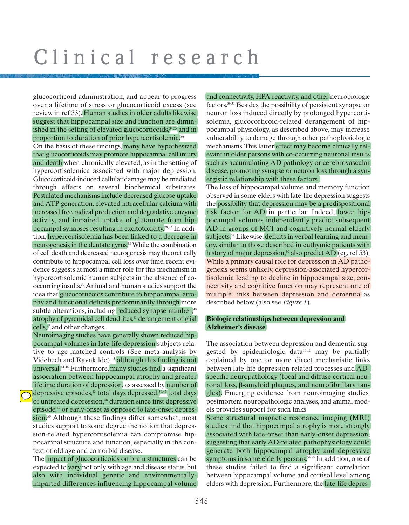glucocorticoid administration, and appear to progress over a lifetime of stress or glucocorticoid excess (see review in ref 33). Human studies in older adults likewise suggest that hippocampal size and function are diminished in the setting of elevated glucocorticoids, $34,35$  and in proportion to duration of prior hypercortisolemia.<sup>36</sup>

On the basis of these findings, many have hypothesized that glucocorticoids may promote hippocampal cell injury and death when chronically elevated, as in the setting of hypercortisolemica associated with major depression. Glucocorticoid-induced cellular damage may be mediated through effects on several biochemical substrates. Postulated mechanisms include decreased glucose uptake and ATP generation, elevated intracellular calcium with increased free radical production and degradative enzyme activity, and impaired uptake of glutamate from hippocampal synapses resulting in excitotoxicity.28,37 In addition, hypercortisolemia has been linked to a decrease in neurogenesis in the dentate gyrus.<sup>38</sup> While the combination of cell death and decreased neurogenesis may theoretically contribute to hippocampal cell loss over time, recent evidence suggests at most a minor role for this mechanism in hypercortisolemic human subjects in the absence of cooccurring insults.39 Animal and human studies support the idea that glucocorticoids contribute to hippocampal atrophy and functional deficits predominantly through more subtle alterations, including reduced synapse number,<sup>40</sup> atrophy of pyramidal cell dendrites,<sup>41</sup> derangement of glial cells,42 and other changes.

Neuroimaging studies have generally shown reduced hippocampal volumes in late-life depression subjects relative to age-matched controls (See meta-analysis by Videbech and Ravnkilde),<sup>43</sup> although this finding is not universal.44-46 Furthermore, many studies find a significant association between hippocampal atrophy and greater lifetime duration of depression, as assessed by number of depressive episodes, $43$  total days depressed, $30,47$  total days of untreated depression,<sup>48</sup> duration since first depressive episode,49 or early-onset as opposed to late-onset depression.<sup>50</sup> Although these findings differ somewhat, most studies support to some degree the notion that depression-related hypercortisolemia can compromise hippocampal structure and function, especially in the context of old age and comorbid disease.

The impact of glucocorticoids on brain structures can be expected to vary not only with age and disease status, but also with individual genetic and environmentallyimparted differences influencing hippocampal volume and connectivity, HPA reactivity, and other neurobiologic factors.39,51 Besides the possibility of persistent synapse or neuron loss induced directly by prolonged hypercortisolemia, glucocorticoid-related derangement of hippocampal physiology, as described above, may increase vulnerability to damage through other pathophysiologic mechanisms.This latter effect may become clinically relevant in older persons with co-occurring neuronal insults such as accumulating AD pathology or cerebrovascular disease, promoting synapse or neuron loss through a synergistic relationship with these factors.

The loss of hippocampal volume and memory function observed in some elders with late-life depression suggests the possibility that depression may be a predispositional risk factor for AD in particular. Indeed, lower hippocampal volumes independently predict subsequent AD in groups of MCI and cognitively normal elderly subjects.<sup>52</sup> Likewise, deficits in verbal learning and memory, similar to those described in euthymic patients with history of major depression,<sup>30</sup> also predict AD (eg, ref 53). While a primary causal role for depression in AD pathogenesis seems unlikely, depression-associated hypercortisolemia leading to decline in hippocampal size, connectivity and cognitive function may represent one of multiple links between depression and dementia as described below (also see *Figure 1*).

#### **Biologic relationships between depression and Alzheimer's disease**

The association between depression and dementia suggested by epidemiologic data<sup>10,11</sup> may be partially explained by one or more direct mechanistic links between late-life depression-related processes and ADspecific neuropathology (focal and diffuse cortical neuronal loss, β-amyloid plaques, and neurofibrillary tangles). Emerging evidence from neuroimaging studies, postmortem neuropathologic analyses, and animal models provides support for such links.

Some structural magnetic resonance imaging (MRI) studies find that hippocampal atrophy is more strongly associated with late-onset than early-onset depression, suggesting that early AD-related pathophysiology could generate both hippocampal atrophy and depressive symptoms in some elderly persons.<sup>54,55</sup> In addition, one of these studies failed to find a significant correlation between hippocampal volume and cortisol level among elders with depression. Furthermore, the late-life depres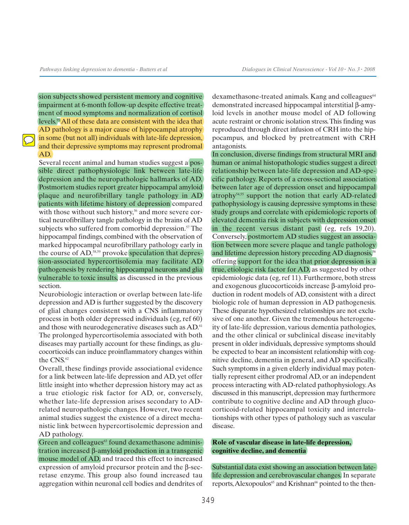sion subjects showed persistent memory and cognitive impairment at 6-month follow-up despite effective treatment of mood symptoms and normalization of cortisol levels.55 All of these data are consistent with the idea that AD pathology is a major cause of hippocampal atrophy in some (but not all) individuals with late-life depression, and their depressive symptoms may represent prodromal AD.

Several recent animal and human studies suggest a possible direct pathophysiologic link between late-life depression and the neuropathologic hallmarks of AD. Postmortem studies report greater hippocampal amyloid plaque and neurofibrillary tangle pathology in AD patients with lifetime history of depression compared with those without such history,<sup>56</sup> and more severe cortical neurofibrillary tangle pathology in the brains of AD subjects who suffered from comorbid depression.<sup>57</sup> The hippocampal findings, combined with the observation of marked hippocampal neurofibrillary pathology early in the course of AD,<sup>58,59</sup> provoke speculation that depression-associated hypercortisolemia may facilitate AD pathogenesis by rendering hippocampal neurons and glia vulnerable to toxic insults, as discussed in the previous section.

Neurobiologic interaction or overlap between late-life depression and AD is further suggested by the discovery of glial changes consistent with a CNS inflammatory process in both older depressed individuals (eg, ref 60) and those with neurodegenerative diseases such as AD.<sup>61</sup> The prolonged hypercortisolemia associated with both diseases may partially account for these findings, as glucocorticoids can induce proinflammatory changes within the CNS.<sup>62</sup>

Overall, these findings provide associational evidence for a link between late-life depression and AD, yet offer little insight into whether depression history may act as a true etiologic risk factor for AD, or, conversely, whether late-life depression arises secondary to ADrelated neuropathologic changes. However, two recent animal studies suggest the existence of a direct mechanistic link between hypercortisolemic depression and AD pathology.

Green and colleagues $63$  found dexamethasone administration increased β-amyloid production in a transgenic mouse model of AD, and traced this effect to increased expression of amyloid precursor protein and the β-secretase enzyme. This group also found increased tau aggregation within neuronal cell bodies and dendrites of dexamethasone-treated animals. Kang and colleagues<sup>64</sup> demonstrated increased hippocampal interstitial β-amyloid levels in another mouse model of AD following acute restraint or chronic isolation stress.This finding was reproduced through direct infusion of CRH into the hippocampus, and blocked by pretreatment with CRH antagonists.

In conclusion, diverse findings from structural MRI and human or animal histopathologic studies suggest a direct relationship between late-life depression and AD-specific pathology. Reports of a cross-sectional association between later age of depression onset and hippocampal atrophy54,55 support the notion that early AD-related pathophysiology is causing depressive symptoms in these study groups and correlate with epidemiologic reports of elevated dementia risk in subjects with depression onset in the recent versus distant past (eg, refs 19,20). Conversely, postmortem AD studies suggest an association between more severe plaque and tangle pathology and lifetime depression history preceding AD diagnosis,<sup>56</sup> offering support for the idea that prior depression is a true, etiologic risk factor for AD, as suggested by other epidemiologic data (eg, ref 11). Furthermore, both stress and exogenous glucocorticoids increase β-amyloid production in rodent models of AD, consistent with a direct biologic role of human depression in AD pathogenesis. These disparate hypothesized relationships are not exclusive of one another. Given the tremendous heterogeneity of late-life depression, various dementia pathologies, and the other clinical or subclinical disease inevitably present in older individuals, depressive symptoms should be expected to bear an inconsistent relationship with cognitive decline, dementia in general, and AD specifically. Such symptoms in a given elderly individual may potentially represent either prodromal AD, or an independent process interacting with AD-related pathophysiology.As discussed in this manuscript, depression may furthermore contribute to cognitive decline and AD through glucocorticoid-related hippocampal toxicity and interrelationships with other types of pathology such as vascular disease.

### **Role of vascular disease in late-life depression, cognitive decline, and dementia**

Substantial data exist showing an association between latelife depression and cerebrovascular changes. In separate reports, Alexopoulos<sup>65</sup> and Krishnan<sup>66</sup> pointed to the then-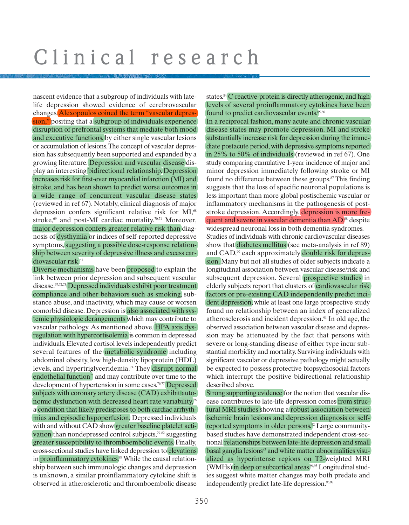nascent evidence that a subgroup of individuals with latelife depression showed evidence of cerebrovascular changes.Alexopoulos coined the term "vascular depression," positing that a subgroup of individuals experience disruption of prefrontal systems that mediate both mood and executive functions, by either single vascular lesions or accumulation of lesions.The concept of vascular depression has subsequently been supported and expanded by a growing literature. Depression and vascular disease display an interesting bidirectional relationship. Depression increases risk for first-ever myocardial infarction (MI) and stroke, and has been shown to predict worse outcomes in a wide range of concurrent vascular disease states (reviewed in ref 67). Notably, clinical diagnosis of major depression confers significant relative risk for MI,<sup>68</sup> stroke,<sup>69</sup> and post-MI cardiac mortality.<sup>70,71</sup> Moreover, major depression confers greater relative risk than diagnosis of dysthymia or indices of self-reported depressive symptoms, suggesting a possible dose-response relationship between severity of depressive illness and excess cardiovascular risk.<sup>67</sup>

Diverse mechanisms have been proposed to explain the link between prior depression and subsequent vascular disease.67,72,73 Depressed individuals exhibit poor treatment compliance and other behaviors such as smoking, substance abuse, and inactivity, which may cause or worsen comorbid disease. Depression is also associated with systemic physiologic derangements which may contribute to vascular pathology. As mentioned above, HPA axis dysregulation with hypercortisolemia is common in depressed individuals. Elevated cortisol levels independently predict several features of the metabolic syndrome including abdominal obesity, low high-density lipoprotein (HDL) levels, and hypertriglyceridemia.74 They disrupt normal endothelial function<sup>75</sup> and may contribute over time to the development of hypertension in some cases.<sup>76,77</sup> Depressed subjects with coronary artery disease (CAD) exhibit autonomic dysfunction with decreased heart rate variability,<sup>78</sup> a condition that likely predisposes to both cardiac arrhythmias and episodic hypoperfusion. Depressed individuals with and without CAD show greater baseline platelet activation than nondepressed control subjects,<sup>79-82</sup> suggesting greater susceptibility to thromboembolic events. Finally, cross-sectional studies have linked depression to elevations in proinflammatory cytokines.<sup>83</sup> While the causal relationship between such immunologic changes and depression is unknown, a similar proinflammatory cytokine shift is observed in atherosclerotic and thromboembolic disease

states.<sup>84</sup> C-reactive-protein is directly atherogenic, and high levels of several proinflammatory cytokines have been found to predict cardiovascular events.<sup>85,86</sup>

In a reciprocal fashion, many acute and chronic vascular disease states may promote depression. MI and stroke substantially increase risk for depression during the immediate postacute period, with depressive symptoms reported in 25% to 50% of individuals (reviewed in ref 67). One study comparing cumulative 1-year incidence of major and minor depression immediately following stroke or MI found no difference between these groups.87 This finding suggests that the loss of specific neuronal populations is less important than more global postischemic vascular or inflammatory mechanisms in the pathogenesis of poststroke depression. Accordingly, depression is more frequent and severe in vascular dementia than AD,<sup>88</sup> despite widespread neuronal loss in both dementia syndromes. Studies of individuals with chronic cardiovascular diseases show that diabetes mellitus (see meta-analysis in ref 89) and CAD,<sup>90</sup> each approximately double risk for depression. Many but not all studies of older subjects indicate a longitudinal association between vascular disease/risk and subsequent depression. Several prospective studies in elderly subjects report that clusters of cardiovascular risk factors or pre-existing CAD independently predict incident depression, while at least one large prospective study found no relationship between an index of generalized atherosclerosis and incident depression.91 In old age, the observed association between vascular disease and depression may be attenuated by the fact that persons with severe or long-standing disease of either type incur substantial morbidity and mortality. Surviving individuals with significant vascular or depressive pathology might actually be expected to possess protective biopsychosocial factors which interrupt the positive bidirectional relationship described above.

Strong supporting evidence for the notion that vascular disease contributes to late-life depression comes from structural MRI studies showing a robust association between ischemic brain lesions and depression diagnosis or selfreported symptoms in older persons.<sup>92</sup> Large communitybased studies have demonstrated independent cross-sectional relationships between late-life depression and small basal ganglia lesions<sup>93</sup> and white matter abnormalities visualized as hyperintense regions on T2-weighted MRI  $(WMHs)$  in deep or subcortical areas. $44,95$  Longitudinal studies suggest white matter changes may both predate and independently predict late-life depression.<sup>96,97</sup>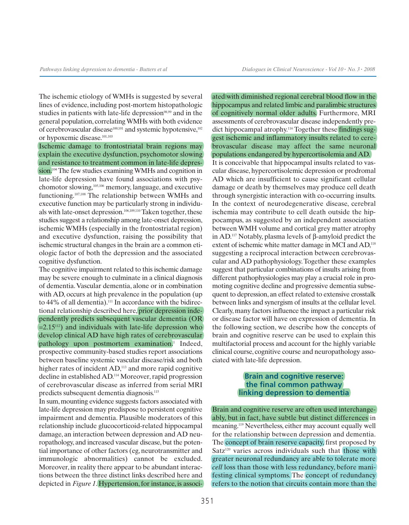The ischemic etiology of WMHs is suggested by several lines of evidence, including post-mortem histopathologic studies in patients with late-life depression<sup>98,99</sup> and in the general population, correlating WMHs with both evidence of cerebrovascular disease<sup>100,101</sup> and systemic hypotensive,<sup>102</sup> or hypoxemic disease.<sup>101,103</sup>

Ischemic damage to frontostriatal brain regions may explain the executive dysfunction, psychomotor slowing and resistance to treatment common in late-life depression.<sup>104</sup> The few studies examining WMHs and cognition in late-life depression have found associations with psychomotor slowing,105,106 memory, language, and executive functioning.107,108 The relationship between WMHs and executive function may be particularly strong in individuals with late-onset depression.<sup>106,109,110</sup>Taken together, these studies suggest a relationship among late-onset depression, ischemic WMHs (especially in the frontostriatal region) and executive dysfunction, raising the possibility that ischemic structural changes in the brain are a common etiologic factor of both the depression and the associated cognitive dysfunction.

The cognitive impairment related to this ischemic damage may be severe enough to culminate in a clinical diagnosis of dementia.Vascular dementia, alone or in combination with AD, occurs at high prevalence in the population (up to 44% of all dementia).<sup>111</sup> In accordance with the bidirectional relationship described here, prior depression independently predicts subsequent vascular dementia (OR  $=2.15^{112}$ ) and individuals with late-life depression who develop clinical AD have high rates of cerebrovascular pathology upon postmortem examination.<sup>1</sup> Indeed, prospective community-based studies report associations between baseline systemic vascular disease/risk and both higher rates of incident AD,<sup>113</sup> and more rapid cognitive decline in established AD.114 Moreover, rapid progression of cerebrovascular disease as inferred from serial MRI predicts subsequent dementia diagnosis.115

In sum, mounting evidence suggests factors associated with late-life depression may predispose to persistent cognitive impairment and dementia. Plausible moderators of this relationship include glucocorticoid-related hippocampal damage, an interaction between depression and AD neuropathology, and increased vascular disease, but the potential importance of other factors (eg, neurotransmitter and immunologic abnormalities) cannot be excluded. Moreover, in reality there appear to be abundant interactions between the three distinct links described here and depicted in *Figure 1*. Hypertension, for instance, is associated with diminished regional cerebral blood flow in the hippocampus and related limbic and paralimbic structures of cognitively normal older adults. Furthermore, MRI assessments of cerebrovascular disease independently predict hippocampal atrophy.<sup>116</sup> Together these findings suggest ischemic and inflammatory insults related to cerebrovascular disease may affect the same neuronal populations endangered by hypercortisolemia and AD. It is conceivable that hippocampal insults related to vascular disease, hypercortisolemic depression or prodromal AD which are insufficient to cause significant cellular damage or death by themselves may produce cell death through synergistic interaction with co-occurring insults. In the context of neurodegenerative disease, cerebral ischemia may contribute to cell death outside the hippocampus, as suggested by an independent association between WMH volume and cortical grey matter atrophy in AD.117 Notably, plasma levels of β-amyloid predict the extent of ischemic white matter damage in MCI and AD,<sup>118</sup> suggesting a reciprocal interaction between cerebrovascular and AD pathophysiology.Together these examples suggest that particular combinations of insults arising from different pathophysiologies may play a crucial role in promoting cognitive decline and progressive dementia subsequent to depression, an effect related to extensive crosstalk between links and synergism of insults at the cellular level. Clearly, many factors influence the impact a particular risk or disease factor will have on expression of dementia. In the following section, we describe how the concepts of brain and cognitive reserve can be used to explain this multifactorial process and account for the highly variable clinical course, cognitive course and neuropathology associated with late-life depression.

### **Brain and cognitive reserve: the final common pathway linking depression to dementia**

Brain and cognitive reserve are often used interchangeably, but in fact, have subtle but distinct differences in meaning.119 Nevertheless, either may account equally well for the relationship between depression and dementia. The concept of brain reserve capacity, first proposed by Satz $120$  varies across individuals such that those with greater neuronal redundancy are able to tolerate more *cell* loss than those with less redundancy, before manifesting clinical symptoms. The concept of redundancy refers to the notion that circuits contain more than the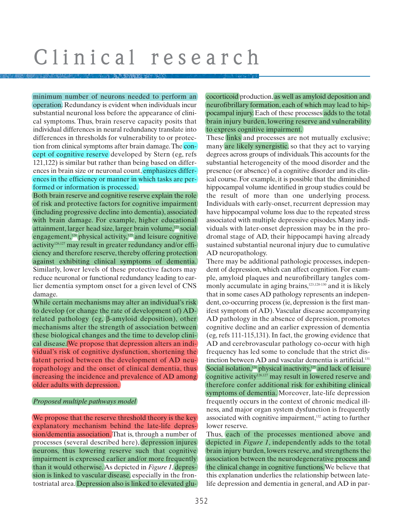minimum number of neurons needed to perform an operation. Redundancy is evident when individuals incur substantial neuronal loss before the appearance of clinical symptoms. Thus, brain reserve capacity posits that individual differences in neural redundancy translate into differences in thresholds for vulnerability to or protection from clinical symptoms after brain damage.The concept of cognitive reserve developed by Stern (eg, refs 121,122) is similar but rather than being based on differences in brain size or neuronal count, emphasizes differences in the efficiency or manner in which tasks are performed or information is processed.

Both brain reserve and cognitive reserve explain the role of risk and protective factors for cognitive impairment (including progressive decline into dementia), associated with brain damage. For example, higher educational attainment, larger head size, larger brain volume,123 social engagement, $124$  physical activity, $125$  and leisure cognitive activity<sup>126,127</sup> may result in greater redundancy and/or efficiency and therefore reserve, thereby offering protection against exhibiting clinical symptoms of dementia. Similarly, lower levels of these protective factors may reduce neuronal or functional redundancy leading to earlier dementia symptom onset for a given level of CNS damage.

While certain mechanisms may alter an individual's risk to develop (or change the rate of development of) ADrelated pathology (eg, β-amyloid deposition), other mechanisms alter the strength of association between these biological changes and the time to develop clinical disease. We propose that depression alters an individual's risk of cognitive dysfunction, shortening the latent period between the development of AD neuropathology and the onset of clinical dementia, thus increasing the incidence and prevalence of AD among older adults with depression.

#### *Proposed multiple pathways model*

We propose that the reserve threshold theory is the key explanatory mechanism behind the late-life depression/dementia association. That is, through a number of processes (several described here), depression injures neurons, thus lowering reserve such that cognitive impairment is expressed earlier and/or more frequently than it would otherwise.As depicted in *Figure 1*, depression is linked to vascular disease, especially in the frontostriatal area. Depression also is linked to elevated glucocorticoid production, as well as amyloid deposition and neurofibrillary formation, each of which may lead to hippocampal injury. Each of these processes adds to the total brain injury burden, lowering reserve and vulnerability to express cognitive impairment.

These links and processes are not mutually exclusive; many are likely synergistic, so that they act to varying degrees across groups of individuals.This accounts for the substantial heterogeneity of the mood disorder and the presence (or absence) of a cognitive disorder and its clinical course. For example, it is possible that the diminished hippocampal volume identified in group studies could be the result of more than one underlying process. Individuals with early-onset, recurrent depression may have hippocampal volume loss due to the repeated stress associated with multiple depressive episodes. Many individuals with later-onset depression may be in the prodromal stage of AD, their hippocampi having already sustained substantial neuronal injury due to cumulative AD neuropathology.

There may be additional pathologic processes, independent of depression, which can affect cognition. For example, amyloid plaques and neurofibrillary tangles commonly accumulate in aging brains,<sup>123,128-130</sup> and it is likely that in some cases AD pathology represents an independent, co-occurring process (ie, depression is the first manifest symptom of AD). Vascular disease accompanying AD pathology in the absence of depression, promotes cognitive decline and an earlier expression of dementia (eg, refs 111-115,131). In fact, the growing evidence that AD and cerebrovascular pathology co-occur with high frequency has led some to conclude that the strict distinction between AD and vascular dementia is artificial.<sup>131</sup> Social isolation, $124$  physical inactivity, $125$  and lack of leisure cognitive activity126,127 may result in lowered reserve and therefore confer additional risk for exhibiting clinical symptoms of dementia. Moreover, late-life depression frequently occurs in the context of chronic medical illness, and major organ system dysfunction is frequently associated with cognitive impairment,<sup>132</sup> acting to further lower reserve.

Thus, each of the processes mentioned above and depicted in *Figure 1*, independently adds to the total brain injury burden, lowers reserve, and strengthens the association between the neurodegenerative process and the clinical change in cognitive functions.We believe that this explanation underlies the relationship between latelife depression and dementia in general, and AD in par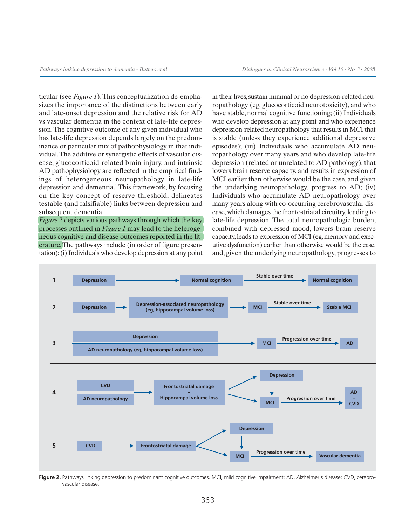ticular (see *Figure 1*).This conceptualization de-emphasizes the importance of the distinctions between early and late-onset depression and the relative risk for AD vs vascular dementia in the context of late-life depression.The cognitive outcome of any given individual who has late-life depression depends largely on the predominance or particular mix of pathophysiology in that individual.The additive or synergistic effects of vascular disease, glucocorticoid-related brain injury, and intrinsic AD pathophysiology are reflected in the empirical findings of heterogeneous neuropathology in late-life depression and dementia.1 This framework, by focusing on the key concept of reserve threshold, delineates testable (and falsifiable) links between depression and subsequent dementia.

*Figure 2* depicts various pathways through which the key processes outlined in *Figure 1* may lead to the heterogeneous cognitive and disease outcomes reported in the literature.The pathways include (in order of figure presentation): (i) Individuals who develop depression at any point

in their lives, sustain minimal or no depression-related neuropathology (eg, glucocorticoid neurotoxicity), and who have stable, normal cognitive functioning; (ii) Individuals who develop depression at any point and who experience depression-related neuropathology that results in MCI that is stable (unless they experience additional depressive episodes); (iii) Individuals who accumulate AD neuropathology over many years and who develop late-life depression (related or unrelated to AD pathology), that lowers brain reserve capacity, and results in expression of MCI earlier than otherwise would be the case, and given the underlying neuropathology, progress to AD; (iv) Individuals who accumulate AD neuropathology over many years along with co-occurring cerebrovascular disease, which damages the frontostriatal circuitry, leading to late-life depression. The total neuropathologic burden, combined with depressed mood, lowers brain reserve capacity, leads to expression of MCI (eg, memory and executive dysfunction) earlier than otherwise would be the case, and, given the underlying neuropathology, progresses to



Figure 2. Pathways linking depression to predominant cognitive outcomes. MCI, mild cognitive impairment; AD, Alzheimer's disease; CVD, cerebrovascular disease.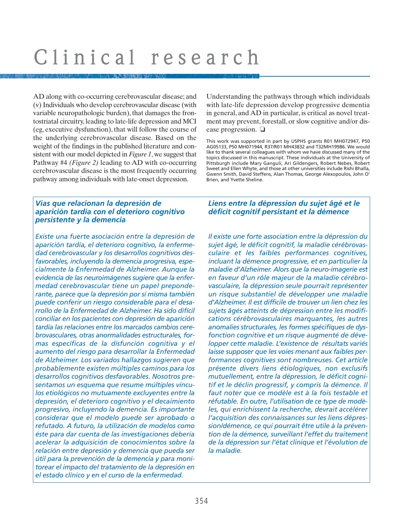AD along with co-occurring cerebrovascular disease; and (v) Individuals who develop cerebrovascular disease (with variable neuropathologic burden), that damages the frontostriatal circuitry, leading to late-life depression and MCI (eg, executive dysfunction), that will follow the course of the underlying cerebrovascular disease. Based on the weight of the findings in the published literature and consistent with our model depicted in *Figure 1*, we suggest that Pathway #4 *(Figure 2)* leading to AD with co-occurring cerebrovascular disease is the most frequently occurring pathway among individuals with late-onset depression.

### *Vías que relacionan la depresión de aparición tardía con el deterioro cognitivo persistente y la demencia*

*Existe una fuerte asociación entre la depresión de aparición tardía, el deterioro cognitivo, la enfermedad cerebrovascular y los desarrollos cognitivos desfavorables, incluyendo la demencia progresiva, especialmente la Enfermedad de Alzheimer. Aunque la evidencia de las neuroimágenes sugiere que la enfermedad cerebrovascular tiene un papel preponderante, parece que la depresión por sí misma también puede conferir un riesgo considerable para el desarrollo de la Enfermedad de Alzheimer. Ha sido difícil conciliar en los pacientes con depresión de aparición tardía las relaciones entre los marcados cambios cerebrovasculares, otras anormalidades estructurales, formas específicas de la disfunción cognitiva y el aumento del riesgo para desarrollar la Enfermedad de Alzheimer. Los variados hallazgos sugieren que probablemente existen múltiples caminos para los desarrollos cognitivos desfavorables. Nosotros presentamos un esquema que resume múltiples vínculos etiológicos no mutuamente excluyentes entre la depresión, el deterioro cognitivo y el decaimiento progresivo, incluyendo la demencia. Es importante considerar que el modelo puede ser aprobado o refutado. A futuro, la utilización de modelos como éste para dar cuenta de las investigaciones debería acelerar la adquisición de conocimientos sobre la relación entre depresión y demencia que pueda ser útil para la prevención de la demencia y para monitorear el impacto del tratamiento de la depresión en el estado clínico y en el curso de la enfermedad.*

Understanding the pathways through which individuals with late-life depression develop progressive dementia in general, and AD in particular, is critical as novel treatment may prevent, forestall, or slow cognitive and/or disease progression. ❏

This work was supported in part by USPHS grants R01 MH072947, P50 AG05133, P50 MH071944, R37/R01 MH43832 and T32MH19986. We would like to thank several colleagues with whom we have discussed many of the topics discussed in this manuscript. These individuals at the University of Pittsburgh include Mary Ganguli, Ari Gildengers, Robert Nebes, Robert Sweet and Ellen Whyte, and those at other universities include Rishi Bhalla, Gwenn Smith, David Steffens, Alan Thomas, George Alexopoulos, John O' Brien, and Yvette Sheline.

## *Liens entre la dépression du sujet âgé et le déficit cognitif persistant et la démence*

*Il existe une forte association entre la dépression du sujet âgé, le déficit cognitif, la maladie cérébrovasculaire et les faibles performances cognitives, incluant la démence progressive, et en particulier la maladie d'Alzheimer. Alors que la neuro-imagerie est en faveur d'un rôle majeur de la maladie cérébrovasculaire, la dépression seule pourrait représenter un risque substantiel de développer une maladie d'Alzheimer. Il est difficile de trouver un lien chez les sujets âgés atteints de dépression entre les modifications cérébrovasculaires marquantes, les autres anomalies structurales, les formes spécifiques de dysfonction cognitive et un risque augmenté de développer cette maladie. L'existence de résultats variés laisse supposer que les voies menant aux faibles performances cognitives sont nombreuses. Cet article présente divers liens étiologiques, non exclusifs mutuellement, entre la dépression, le déficit cognitif et le déclin progressif, y compris la démence. Il faut noter que ce modèle est à la fois testable et réfutable. En outre, l'utilisation de ce type de modèles, qui enrichissent la recherche, devrait accélérer l'acquisition des connaissances sur les liens dépression/démence, ce qui pourrait être utile à la prévention de la démence, surveillant l'effet du traitement de la dépression sur l'état clinique et l'évolution de la maladie.*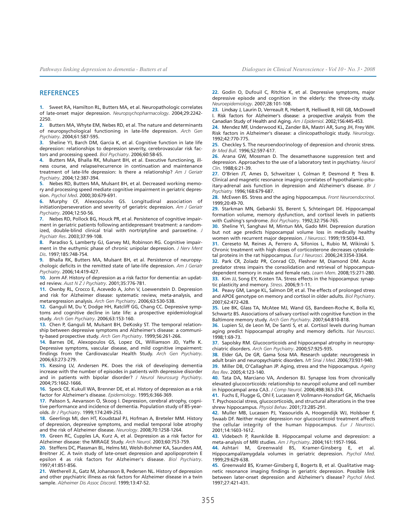#### **REFERENCES**

**1.** Sweet RA, Hamilton RL, Butters MA, et al. Neuropathologic correlates of late-onset major depression. *Neuropsychopharmacology*. 2004;29:2242- 2250.

**2.** Butters MA, Whyte EM, Nebes RD, et al. The nature and determinants of neuropsychological functioning in late-life depression. *Arch Gen Psychiatry*. 2004;61:587-595.

**3.** Sheline YI, Barch DM, Garcia K, et al. Cognitive function in late life depression: relationships to depression severity, cerebrovascular risk factors and processing speed. *Biol Psychiatry*. 2006;60:58-65.

**4.** Butters MA, Bhalla RK, Mulsant BH, et al. Executive functioning, illness course, and relapse/recurrence in continuation and maintenance treatment of late-life depression: Is there a relationship? *Am J Geriatr Psychiatry*. 2004;12:387-394.

**5.** Nebes RD, Butters MA, Mulsant BH, et al. Decreased working memory and processing speed mediate cognitive impairment in geriatric depression. *Psychol Med*. 2000;30:679-691.

**6.** Murphy CF, Alexopoulos GS. Longitudinal association of initiation/perseveration and severity of geriatric depression. *Am J Geriatr Psychiatry*. 2004;12:50-56.

**7.** Nebes RD, Pollock BG, Houck PR, et al. Persistence of cognitive impairment in geriatric patients following antidepressant treatment: a randomized, double-blind clinical trial with nortriptyline and paroxetine. *J Psychiatr Res*. 2003;37:99-108.

**8.** Paradiso S, Lamberty GJ, Garvey MJ, Robinson RG. Cognitive impairment in the euthymic phase of chronic unipolar depression. *J Nerv Ment Dis*. 1997;185:748-754.

**9.** Bhalla RK, Butters MA, Mulsant BH, et al. Persistence of neuropsychologic deficits in the remitted state of late-life depression. *Am J Geriatr Psychiatry*. 2006;14:419-427.

**10.** Jorm AF. History of depression as a risk factor for dementia: an updated review. *Aust N Z J Psychiatry*. 2001;35:776-781.

**11.** Ownby RL, Crocco E, Acevedo A, John V, Loewenstein D. Depression and risk for Alzheimer disease: systematic review, meta-analysis, and metaregression analysis. *Arch Gen Psychiatry*. 2006;63:530-538.

**12.** Ganguli M, Du Y, Dodge HH, Ratcliff GG, Chang CC. Depressive symptoms and cognitive decline in late life: a prospective epidemiological study. *Arch Gen Psychiatry*. 2006;63:153-160.

**13.** Chen P, Ganguli M, Mulsant BH, DeKosky ST. The temporal relationship between depressive symptoms and Alzheimer's disease: a community-based prospective study. *Arch Gen Psychiatry*. 1999;56:261-266.

**14.** Barnes DE, Alexopoulos GS, Lopez OL, Williamson JD, Yaffe K. Depressive symptoms, vascular disease, and mild cognitive impairment: findings from the Cardiovascular Health Study. *Arch Gen Psychiatry*. 2006;63:273-279.

**15.** Kessing LV, Andersen PK. Does the risk of developing dementia increase with the number of episodes in patients with depressive disorder and in patients with bipolar disorder? *J Neurol Neurosurg Psychiatry*. 2004;75:1662-1666.

**16.** Speck CE, Kukull WA, Brenner DE, et al. History of depression as a risk factor for Alzheimer's disease. *Epidemiology*. 1995;6:366-369.

**17.** Palsson S, Aevarsson O, Skoog I. Depression, cerebral atrophy, cognitive performance and incidence of dementia. Population study of 85-yearolds. *Br J Psychiatry*. 1999;174:249-253.

**18.** Geerlings MI, den HT, Koudstaal PJ, Hofman A, Breteler MM. History of depression, depressive symptoms, and medial temporal lobe atrophy and the risk of Alzheimer disease. *Neurology*. 2008;70:1258-1264.

**19.** Green RC, Cupples LA, Kurz A, et al. Depression as a risk factor for Alzheimer disease: the MIRAGE Study. *Arch Neurol*. 2003;60:753-759.

**20.** Steffens DC, Plassman BL, Helms MJ, Welsh-Bohmer KA, Saunders AM, Breitner JC. A twin study of late-onset depression and apolipoprotein E epsilon 4 as risk factors for Alzheimer's disease. *Biol Psychiatry*. 1997;41:851-856.

**21.** Wetherell JL, Gatz M, Johansson B, Pedersen NL. History of depression and other psychiatric illness as risk factors for Alzheimer disease in a twin sample. *Alzheimer Dis Assoc Discord*. 1999;13:47-52.

**22.** Godin O, Dufouil C, Ritchie K, et al. Depressive symptoms, major depressive episode and cognition in the elderly: the three-city study. *Neuroepidemiology*. 2007;28:101-108.

**23.** Lindsay J, Laurin D, Verreault R, Hebert R, Helliwell B, Hill GB, McDowell I. Risk factors for Alzheimer's disease: a prospective analysis from the Canadian Study of Health and Aging. *Am J Epidemiol*. 2002;156:445-453.

**24.** Mendez MF, Underwood KL, Zander BA, Mastri AR, Sung JH, Frey WH. Risk factors in Alzheimer's disease: a clinicopathologic study. *Neurology*. 1992;42:770-775.

**25.** Checkley S. The neuroendocrinology of depression and chronic stress. *Br Med Bull*. 1996;52:597-617.

**26.** Arana GW, Mossman D. The dexamethasone suppression test and depression. Approaches to the use of a laboratory test in psychiatry. *Neurol Clin*. 1988;6:21-39.

**27.** O'Brien JT, Ames D, Schweitzer I, Colman P, Desmond P, Tress B. Clinical and magnetic resonance imaging correlates of hypothalamic-pituitary-adrenal axis function in depression and Alzheimer's disease. *Br J Psychiatry.* 1996;168:679-687.

**28.** McEwen BS. Stress and the aging hippocampus. *Front Neuroendocrinol*. 1999;20:49-70.

**29.** Starkman MN, Gebarski SS, Berent S, Schteingart DE. Hippocampal formation volume, memory dysfunction, and cortisol levels in patients with Cushing's syndrome. *Biol Psychiatry*. 1992;32:756-765.

**30.** Sheline YI, Sanghavi M, Mintun MA, Gado MH. Depression duration but not age predicts hippocampal volume loss in medically healthy women with recurrent major depression. *J Neurosci*. 1999;19:5034-43.

**31.** Cereseto M, Reines A, Ferrero A, Sifonios L, Rubio M, Wikinski S. Chronic treatment with high doses of corticosterone decreases cytoskeletal proteins in the rat hippocampus. *Eur J Neurosci*. 2006;24:3354-3364.

**32.** Park CR, Zoladz PR, Conrad CD, Fleshner M, Diamond DM. Acute predator stress impairs the consolidation and retrieval of hippocampusdependent memory in male and female rats. *Learn Mem*. 2008;15:271-280. **33.** Kim JJ, Song EY, Kosten TA. Stress effects in the hippocampus: synaptic plasticity and memory. *Stress*. 2006;9:1-11.

**34.** Peavy GM, Lange KL, Salmon DP, et al. The effects of prolonged stress and APOE genotype on memory and cortisol in older adults. *Biol Psychiatry*. 2007;62:472-428.

**35.** Lee BK, Glass TA, McAtee MJ, Wand GS, Bandeen-Roche K, Bolla KI, Schwartz BS. Associations of salivary cortisol with cognitive function in the Baltimore memory study. *Arch Gen Psychiatry*. 2007;64:810-818.

**36.** Lupien SJ, de Leon M, De Santi S, et al. Cortisol levels during human aging predict hippocampal atrophy and memory deficits. *Nat Neurosci*. 1998;1:69-73.

**37.** Sapolsky RM. Glucocorticoids and hippocampal atrophy in neuropsychiatric disorders. *Arch Gen Psychiatry*. 2000;57:925-935.

**38.** Elder GA, De GR, Gama Sosa MA. Research update: neurogenesis in adult brain and neuropsychiatric disorders. *Mt Sinai J Med*. 2006;73:931-940. **39.** Miller DB, O'Callaghan JP. Aging, stress and the hippocampus. *Ageing Res Rev*. 2005;4:123-140.

**40.** Tata DA, Marciano VA, Anderson BJ. Synapse loss from chronically elevated glucocorticoids: relationship to neuropil volume and cell number in hippocampal area CA3. *J Comp Neurol*. 2006;498:363-374.

**41.** Fuchs E, Flugge G, Ohl F, Lucassen P, Vollmann-Honsdorf GK, Michaelis T. Psychosocial stress, glucocorticoids, and structural alterations in the tree shrew hippocampus. *Physiol Behav*. 2001;73:285-291.

**42.** Muller MB, Lucassen PJ, Yassouridis A, Hoogendijk WJ, Holsboer F, Swaab DF. Neither major depression nor glucocorticoid treatment affects the cellular integrity of the human hippocampus. *Eur J Neurosci*. 2001;14:1603-1612.

**43.** Videbech P, Ravnkilde B. Hippocampal volume and depression: a meta-analysis of MRI studies. *Am J Psychiatry*. 2004;161:1957-1966.

**44.** Ashtari M, Greenwald BS, Kramer-Ginsberg E, et al. Hippocampal/amygdala volumes in geriatric depression. *Psychol Med*. 1999;29:629-638.

**45.** Greenwald BS, Kramer-Ginsberg E, Bogerts B, et al. Qualitative magnetic resonance imaging findings in geriatric depression. Possible link between later-onset depression and Alzheimer's disease? *Psychol Med*. 1997;27:421-431.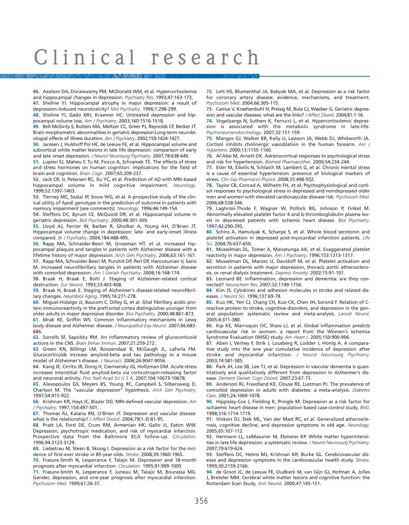**46.** Axelson DA, Doraiswamy PM, McDonald WM, et al. Hypercortisolemia and hippocampal changes in depression. *Psychiatry Res*. 1993;47:163-173. **47.** Sheline YI. Hippocampal atrophy in major depression: a result of depression-induced neurotoxicity? *Mol Psychiatry*. 1996;1:298-299.

**48.** Sheline YI, Gado MH, Kraemer HC. Untreated depression and hippocampal volume loss. *Am J Psychiatry*. 2003;160:1516-1518.

**49.** Bell-McGinty S, Butters MA, Meltzer CC, Greer PJ, Reynolds CF, Becker JT. Brain morphometric abnormalities in geriatric depression:Long-term neurobiologial effects of illness duration. *Am J Psychiatry*. 2002;159:1424-1427.

**50.** Janssen J, Hulshoff Pol HE, de Leeuw FE, et al. Hippocampal volume and subcortical white matter lesions in late life depression: comparison of early and late onset depression. *J Neurol Neurosurg Psychiatry*. 2007;78:638-640.

**51.** Lupien SJ, Maheu F, Tu M, Fiocco A, Schramek TE. The effects of stress and stress hormones on human cognition: implications for the field of brain and cognition. *Brain Cogn*. 2007;65:209-237.

**52.** Jack CR, Jr, Petersen RC, Xu YC, et al. Prediction of AD with MRI-based hippocampal volume in mild cognitive impairment. *Neurology*. 1999;52:1397-1403.

**53.** Tierney MC, Szalai JP, Snow WG, et al. A prospective study of the clinical utility of ApoE genotype in the prediction of outcome in patients with memory impairment [see comments]. *Neurology*. 1996;46:149-154.

**54.** Steffens DC, Byrum CE, McQuoid DR, et al. Hippocampal volume in geriatric depression. *Biol Psychiatry*. 2000;48:301-309.

**55.** Lloyd AJ, Ferrier IN, Barber R, Gholkar A, Young AH, O'Brien JT. Hippocampal volume change in depression: late- and early-onset illness compared. *Br J Psychiatry*. 2004;184:488-495.

**56.** Rapp MA, Schnaider-Beeri M, Grossman HT, et al. Increased hippocampal plaques and tangles in patients with Alzheimer disease with a lifetime history of major depression. *Arch Gen Psychiatry*. 2006;63:161-167. **57.** Rapp MA, Schnaider-Beeri M, Purohit DP, Perl DP, Haroutunian V, Sano

M. Increased neurofibrillary tangles in patients with Alzheimer disease with comorbid depression. *Am J Geriatr Psychiatry*. 2008;16:168-174.

**58.** Braak H, Braak E, Bohl J. Staging of Alzheimer-related cortical destruction. *Eur Neurol*. 1993;33:403-408.

**59.** Braak H, Braak E. Staging of Alzheimer's disease-related neurofibrillary changes. *Neurobiol Aging*. 1995;16:271-278.

**60.** Miguel-Hidalgo JJ, Baucom C, Dilley G, et al. Glial fibrillary acidic protein immunoreactivity in the prefrontal cortex distinguishes younger from older adults in major depressive disorder. *Biol Psychiatry*. 2000;48:861-873.

**61.** Mrak RE, Griffin WS. Common inflammatory mechanisms in Lewy body disease and Alzheimer disease. *J Neuropathol Exp Neurol*. 2007;66:683- 686.

**62.** Sorrells SF, Sapolsky RM. An inflammatory review of glucocorticoid actions in the CNS. *Brain Behav Immun*. 2007;21:259-272.

**63.** Green KN, Billings LM, Roozendaal B, McGaugh JL, LaFerla FM. Glucocorticoids increase amyloid-beta and tau pathology in a mouse model of Alzheimer's disease. *J Neurosci*. 2006;26:9047-9056.

**64.** Kang JE, Cirrito JR, Dong H, Csernansky JG, Holtzman DM. Acute stress increases interstitial fluid amyloid-beta via corticotropin-releasing factor and neuronal activity. *Proc Natl Acad Sci U S A*. 2007;104:10673-10678.

**65.** Alexopoulos GS, Meyers BS, Young RC, Campbell S, Silbersweig D, Charlson M. The "vascular depression" hypothesis. *Arch Gen Psychiatry*. 1997;54:915-922.

**66.** Krishnan KR, Hays JC, Blazer DG. MRI-defined vascular depression. *Am J Psychiatry*. 1997;154:497-501.

**67.** Thomas AJ, Kalaria RN, O'Brien JT. Depression and vascular disease: what is the relationship? *J Affect Disord*. 2004;79(1-3):81-95.

**68.** Pratt LA, Ford DE, Crum RM, Armenian HK, Gallo JJ, Eaton WW. Depression, psychotropic medication, and risk of myocardial infarction. Prospective data from the Baltimore ECA follow-up. *Circulation*. 1996;94:3123-3129.

**69.** Liebetrau M, Steen B, Skoog I. Depression as a risk factor for the incidence of first-ever stroke in 85-year-olds. *Stroke*. 2008;39:1960-1965.

**70.** Frasure-Smith N, Lesperance F, Talajic M. Depression and 18-month prognosis after myocardial infarction. *Circulation*. 1995;91:999-1005.

**71.** Frasure-Smith N, Lesperance F, Juneau M, Talajic M, Bourassa MG. Gender, depression, and one-year prognosis after myocardial infarction. *Psychosom Med*. 1999;61:26-37.

**72.** Lett HS, Blumenthal JA, Babyak MA, et al. Depression as a risk factor for coronary artery disease: evidence, mechanisms, and treatment. *Psychosom Med*. 2004;66:305-115.

**73.** Camus V, Kraehenbuhl H, Preisig M, Bula CJ, Waeber G. Geriatric depression and vascular diseases: what are the links? *J Affect Disord*. 2004;81:1-16.

**74.** Vogelzangs N, Suthers K, Ferrucci L, et al. Hypercortisolemic depression is associated with the metabolic syndrome in late-life. *Psychoneuroendocrinology*. 2007;32:151-159.

**75.** Mangos GJ, Walker BR, Kelly JJ, Lawson JA, Webb DJ, Whitworth JA. Cortisol inhibits cholinergic vasodilation in the human forearm. *Am J Hypertens*. 2000;13:1155-1160.

**76.** Al'Absi M, Arnett DK. Adrenocortical responses to psychological stress and risk for hypertension. *Biomed Pharmacother*. 2000;54:234-244.

**77.** Esler M, Eikelis N, Schlaich M, Lambert G, et al. Chronic mental stress is a cause of essential hypertension: presence of biological markers of stress. *Clin Exp Pharmacol Physiol*. 2008;35:498-502.

**78.** Taylor CB, Conrad A, Wilhelm FH, et al. Psychophysiological and cortisol responses to psychological stress in depressed and nondepressed older men and women with elevated cardiovascular disease risk. *Psychosom Med*. 2006;68:538-546.

**79.** Laghrissi-Thode F, Wagner W, Pollock BG, Johnson P, Finkel M. Abnormally elevated platelet factor 4 and b-thromboglobulin plasma levels in depressed patients with ischemic heart disease. *Biol Psychiatry*. 1997;42:290-295.

**80.** Schins A, Hamulyak K, Scharpe S, et al. Whole blood serotonin and platelet activation in depressed post-myocardial infarction patients. *Life Sci*. 2004;76:637-650.

**81.** Musselman DL, Tomer A, Manatunga AK, et al. Exaggerated platelet reactivity in major depression. *Am J Psychiatry*. 1996;153:1313-1317.

**82.** Musselman DL, Marzec U, Davidoff M, et al. Platelet activation and secretion in patients with major depression, thoracic aortic atherosclerosis, or renal dialysis treatment. *Depress Anxiety*. 2002;15:91-101.

**83.** Leonard BE. Inflammation, depression and dementia: are they connected? *Neurochem Res*. 2007;32:1749-1756.

**84.** Kim JS. Cytokines and adhesion molecules in stroke and related diseases. *J Neurol Sci*. 1996;137:69-78.

**85.** Kuo HK, Yen CJ, Chang CH, Kuo CK, Chen JH, Sorond F. Relation of Creactive protein to stroke, cognitive disorders, and depression in the general population: systematic review and meta-analysis. *Lancet Neurol*. 2005;4:371-380.

**86.** Kip KE, Marroquin OC, Shaw LJ, et al. Global inflammation predicts cardiovascular risk in women: a report from the Women's Ischemia Syndrome Evaluation (WISE) study. *Am Heart J*. 2005;150:900-906.

**87.** Aben I, Verhey F, Strik J, Lousberg R, Lodder J, Honig A. A comparative study into the one year cumulative incidence of depression after stroke and myocardial infarction. *J Neurol Neurosurg Psychiatry*. 2003;74:581-585.

**88.** Park JH, Lee SB, Lee TJ, et al. Depression in vascular dementia is quantitatively and qualitatively different from depression in Alzheimer's disease. *Dement Geriatr Cogn Disord*. 2007;23:67-73.

**89.** Anderson RJ, Freedland KE, Clouse RE, Lustman PJ. The prevalence of comorbid depression in adults with diabetes: a meta-analysis. *Diabetes Care*. 2001;24:1069-1078.

**90.** Hippisley-Cox J, Fielding K, Pringle M. Depression as a risk factor for ischaemic heart disease in men: population based case-control study. *BMJ*. 1998;316:1714-1719.

**91.** Vinkers DJ, Stek ML, Van der Mast RC, et al. Generalized atherosclerosis, cognitive decline, and depressive symptoms in old age. *Neurology*. 2005;65:107-112.

**92.** Hermann LL, LeMasurier M, Ebmeier KP. White matter hyperintensities in late life depression: a systematic review. *J Neurol Neurosurg Psychiatry*. 2007;79:619-624.

**93.** Steffens DC, Helms MJ, Krishnan KR, Burke GL. Cerebrovascular disease and depression symptoms in the cardiovascular health study. *Stroke*. 1999;30:2159-2166.

**94.** de Groot JC, de Leeuw FE, Oudkerk M, van Gijn GJ, Hofman A, Jolles J, Breteler MM. Cerebral white matter lesions and cognitive function: the Rotterdam Scan Study. *Ann Neurol*. 2000;47:145-151.